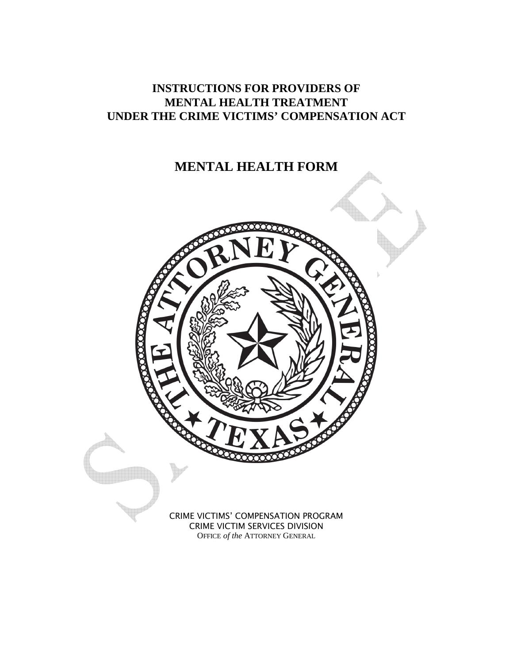# **INSTRUCTIONS FOR PROVIDERS OF MENTAL HEALTH TREATMENT UNDER THE CRIME VICTIMS' COMPENSATION ACT**

# **MENTAL HEALTH FORM**

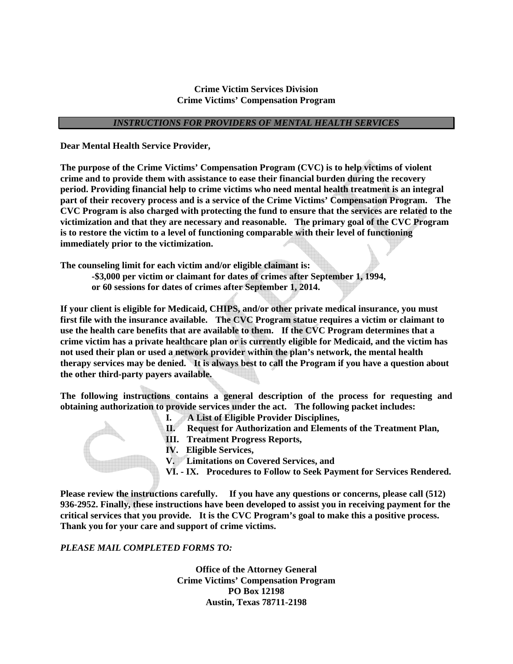## **Crime Victim Services Division Crime Victims' Compensation Program**

## *INSTRUCTIONS FOR PROVIDERS OF MENTAL HEALTH SERVICES*

**Dear Mental Health Service Provider,** 

**The purpose of the Crime Victims' Compensation Program (CVC) is to help victims of violent crime and to provide them with assistance to ease their financial burden during the recovery period. Providing financial help to crime victims who need mental health treatment is an integral part of their recovery process and is a service of the Crime Victims' Compensation Program. The CVC Program is also charged with protecting the fund to ensure that the services are related to the victimization and that they are necessary and reasonable. The primary goal of the CVC Program is to restore the victim to a level of functioning comparable with their level of functioning immediately prior to the victimization.** 

**The counseling limit for each victim and/or eligible claimant is:** 

 **-\$3,000 per victim or claimant for dates of crimes after September 1, 1994, or 60 sessions for dates of crimes after September 1, 2014.** 

**If your client is eligible for Medicaid, CHIPS, and/or other private medical insurance, you must first file with the insurance available. The CVC Program statue requires a victim or claimant to use the health care benefits that are available to them. If the CVC Program determines that a crime victim has a private healthcare plan or is currently eligible for Medicaid, and the victim has not used their plan or used a network provider within the plan's network, the mental health therapy services may be denied. It is always best to call the Program if you have a question about the other third-party payers available.** 

**The following instructions contains a general description of the process for requesting and obtaining authorization to provide services under the act. The following packet includes:** 

- **I. A List of Eligible Provider Disciplines,**
- **II. Request for Authorization and Elements of the Treatment Plan,**
- **III. Treatment Progress Reports,**
- **IV. Eligible Services,**
- **V. Limitations on Covered Services, and**
- **VI. IX. Procedures to Follow to Seek Payment for Services Rendered.**

**Please review the instructions carefully. If you have any questions or concerns, please call (512) 936-2952. Finally, these instructions have been developed to assist you in receiving payment for the critical services that you provide. It is the CVC Program's goal to make this a positive process. Thank you for your care and support of crime victims.** 

## *PLEASE MAIL COMPLETED FORMS TO:*

**Office of the Attorney General Crime Victims' Compensation Program PO Box 12198 Austin, Texas 78711-2198**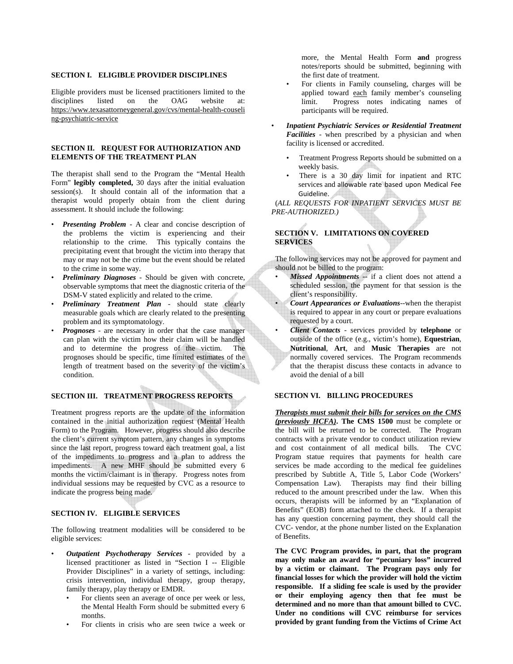#### **SECTION I. ELIGIBLE PROVIDER DISCIPLINES**

Eligible providers must be licensed practitioners limited to the disciplines listed on the OAG website at: https://www.texasattorneygeneral.gov/cvs/mental-health-couseli ng-psychiatric-service

#### **SECTION II. REQUEST FOR AUTHORIZATION AND ELEMENTS OF THE TREATMENT PLAN**

The therapist shall send to the Program the "Mental Health Form" **legibly completed,** 30 days after the initial evaluation session(s). It should contain all of the information that a therapist would properly obtain from the client during assessment. It should include the following:

- *Presenting Problem* A clear and concise description of the problems the victim is experiencing and their relationship to the crime. This typically contains the precipitating event that brought the victim into therapy that may or may not be the crime but the event should be related to the crime in some way.
- *Preliminary Diagnoses* Should be given with concrete, observable symptoms that meet the diagnostic criteria of the DSM-V stated explicitly and related to the crime.
- *Preliminary Treatment Plan* should state clearly measurable goals which are clearly related to the presenting problem and its symptomatology.
- *Prognoses* are necessary in order that the case manager can plan with the victim how their claim will be handled and to determine the progress of the victim. The prognoses should be specific, time limited estimates of the length of treatment based on the severity of the victim's condition.

## **SECTION III. TREATMENT PROGRESS REPORTS**

Treatment progress reports are the update of the information contained in the initial authorization request (Mental Health Form) to the Program. However, progress should also describe the client's current symptom pattern, any changes in symptoms since the last report, progress toward each treatment goal, a list of the impediments to progress and a plan to address the impediments. A new MHF should be submitted every 6 months the victim/claimant is in therapy. Progress notes from individual sessions may be requested by CVC as a resource to indicate the progress being made.

### **SECTION IV. ELIGIBLE SERVICES**

The following treatment modalities will be considered to be eligible services:

- *Outpatient Psychotherapy Services* provided by a licensed practitioner as listed in "Section I -- Eligible Provider Disciplines" in a variety of settings, including: crisis intervention, individual therapy, group therapy, family therapy, play therapy or EMDR.
	- For clients seen an average of once per week or less, the Mental Health Form should be submitted every 6 months.
	- For clients in crisis who are seen twice a week or

more, the Mental Health Form **and** progress notes/reports should be submitted, beginning with the first date of treatment.

- For clients in Family counseling, charges will be applied toward each family member's counseling limit. Progress notes indicating names of participants will be required.
- *Inpatient Psychiatric Services or Residential Treatment Facilities* - when prescribed by a physician and when facility is licensed or accredited.
	- Treatment Progress Reports should be submitted on a weekly basis.
	- There is a 30 day limit for inpatient and RTC services and allowable rate based upon Medical Fee Guideline.

 (*ALL REQUESTS FOR INPATIENT SERVICES MUST BE PRE-AUTHORIZED.)* 

### **SECTION V. LIMITATIONS ON COVERED SERVICES**

The following services may not be approved for payment and should not be billed to the program:

Missed Appointments -- if a client does not attend a scheduled session, the payment for that session is the client's responsibility.

• *Court Appearances or Evaluations*--when the therapist is required to appear in any court or prepare evaluations requested by a court.

• *Client Contacts* - services provided by **telephone** or outside of the office (e.g., victim's home), **Equestrian**, **Nutritional**, **Art**, and **Music Therapies** are not normally covered services. The Program recommends that the therapist discuss these contacts in advance to avoid the denial of a bill

#### **SECTION VI. BILLING PROCEDURES**

*Therapists must submit their bills for services on the CMS (previously HCFA)***. The CMS 1500** must be complete or the bill will be returned to be corrected. The Program contracts with a private vendor to conduct utilization review and cost containment of all medical bills. The CVC Program statue requires that payments for health care services be made according to the medical fee guidelines prescribed by Subtitle A, Title 5, Labor Code (Workers' Compensation Law). Therapists may find their billing reduced to the amount prescribed under the law. When this occurs, therapists will be informed by an "Explanation of Benefits" (EOB) form attached to the check. If a therapist has any question concerning payment, they should call the CVC- vendor, at the phone number listed on the Explanation of Benefits.

**The CVC Program provides, in part, that the program may only make an award for "pecuniary loss" incurred by a victim or claimant. The Program pays only for financial losses for which the provider will hold the victim responsible. If a sliding fee scale is used by the provider or their employing agency then that fee must be determined and no more than that amount billed to CVC. Under no conditions will CVC reimburse for services provided by grant funding from the Victims of Crime Act**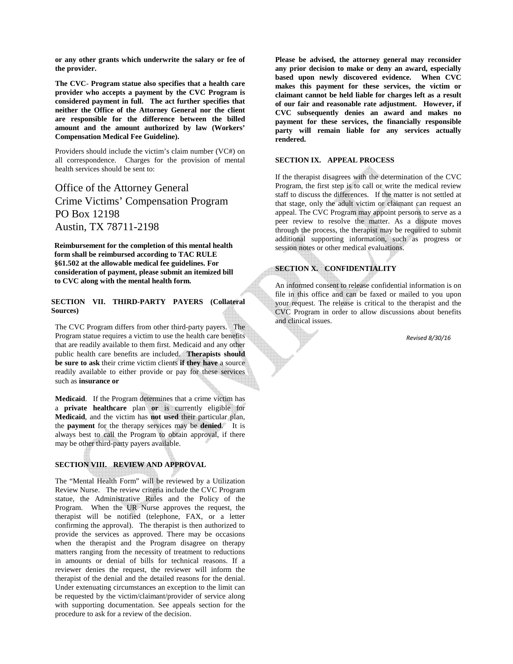**or any other grants which underwrite the salary or fee of the provider.** 

**The CVC**- **Program statue also specifies that a health care provider who accepts a payment by the CVC Program is considered payment in full. The act further specifies that neither the Office of the Attorney General nor the client are responsible for the difference between the billed amount and the amount authorized by law (Workers' Compensation Medical Fee Guideline).** 

Providers should include the victim's claim number (VC#) on all correspondence. Charges for the provision of mental health services should be sent to:

Office of the Attorney General Crime Victims' Compensation Program PO Box 12198 Austin, TX 78711-2198

 **Reimbursement for the completion of this mental health form shall be reimbursed according to TAC RULE §61.502 at the allowable medical fee guidelines. For consideration of payment, please submit an itemized bill to CVC along with the mental health form.** 

### **SECTION VII. THIRD-PARTY PAYERS (Collateral Sources)**

The CVC Program differs from other third-party payers. The Program statue requires a victim to use the health care benefits that are readily available to them first. Medicaid and any other public health care benefits are included. **Therapists should be sure to ask** their crime victim clients **if they have** a source readily available to either provide or pay for these services such as **insurance or** 

**Medicaid**. If the Program determines that a crime victim has a **private healthcare** plan **or** is currently eligible for **Medicaid**, and the victim has **not used** their particular plan, the **payment** for the therapy services may be **denied**. It is always best to call the Program to obtain approval, if there may be other third-party payers available.

### **SECTION VIII. REVIEW AND APPROVAL**

The "Mental Health Form" will be reviewed by a Utilization Review Nurse. The review criteria include the CVC Program statue, the Administrative Rules and the Policy of the Program. When the UR Nurse approves the request, the therapist will be notified (telephone, FAX, or a letter confirming the approval). The therapist is then authorized to provide the services as approved. There may be occasions when the therapist and the Program disagree on therapy matters ranging from the necessity of treatment to reductions in amounts or denial of bills for technical reasons. If a reviewer denies the request, the reviewer will inform the therapist of the denial and the detailed reasons for the denial. Under extenuating circumstances an exception to the limit can be requested by the victim/claimant/provider of service along with supporting documentation. See appeals section for the procedure to ask for a review of the decision.

**Please be advised, the attorney general may reconsider any prior decision to make or deny an award, especially based upon newly discovered evidence. When CVC makes this payment for these services, the victim or claimant cannot be held liable for charges left as a result of our fair and reasonable rate adjustment. However, if CVC subsequently denies an award and makes no payment for these services, the financially responsible party will remain liable for any services actually rendered.** 

#### **SECTION IX. APPEAL PROCESS**

If the therapist disagrees with the determination of the CVC Program, the first step is to call or write the medical review staff to discuss the differences. If the matter is not settled at that stage, only the adult victim or claimant can request an appeal. The CVC Program may appoint persons to serve as a peer review to resolve the matter. As a dispute moves through the process, the therapist may be required to submit additional supporting information, such as progress or session notes or other medical evaluations.

## **SECTION X. CONFIDENTIALITY**

An informed consent to release confidential information is on file in this office and can be faxed or mailed to you upon your request. The release is critical to the therapist and the CVC Program in order to allow discussions about benefits and clinical issues.

*Revised 8/30/16*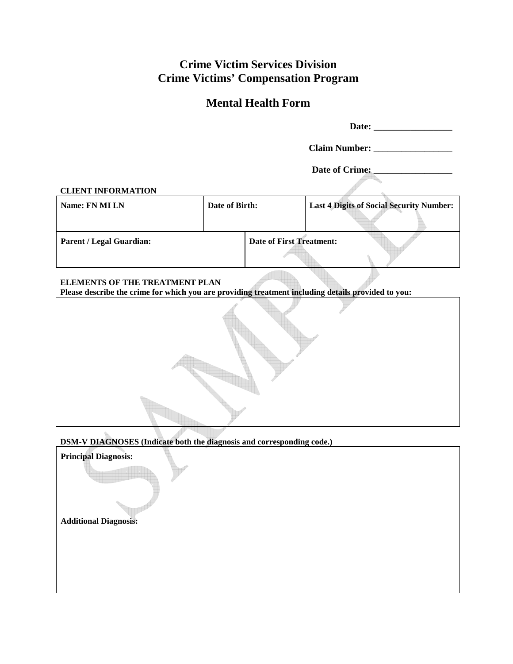# **Crime Victim Services Division Crime Victims' Compensation Program**

# **Mental Health Form**

|                                                                                                                                      |                | Date of Crime:                                  |  |  |  |
|--------------------------------------------------------------------------------------------------------------------------------------|----------------|-------------------------------------------------|--|--|--|
| <b>CLIENT INFORMATION</b>                                                                                                            |                |                                                 |  |  |  |
| Name: FN MI LN                                                                                                                       | Date of Birth: | <b>Last 4 Digits of Social Security Number:</b> |  |  |  |
| <b>Parent / Legal Guardian:</b>                                                                                                      |                | <b>Date of First Treatment:</b>                 |  |  |  |
| ELEMENTS OF THE TREATMENT PLAN<br>Please describe the crime for which you are providing treatment including details provided to you: |                |                                                 |  |  |  |
|                                                                                                                                      |                |                                                 |  |  |  |
| DSM-V DIAGNOSES (Indicate both the diagnosis and corresponding code.)                                                                |                |                                                 |  |  |  |
| <b>Principal Diagnosis:</b>                                                                                                          |                |                                                 |  |  |  |

**Additional Diagnosis:**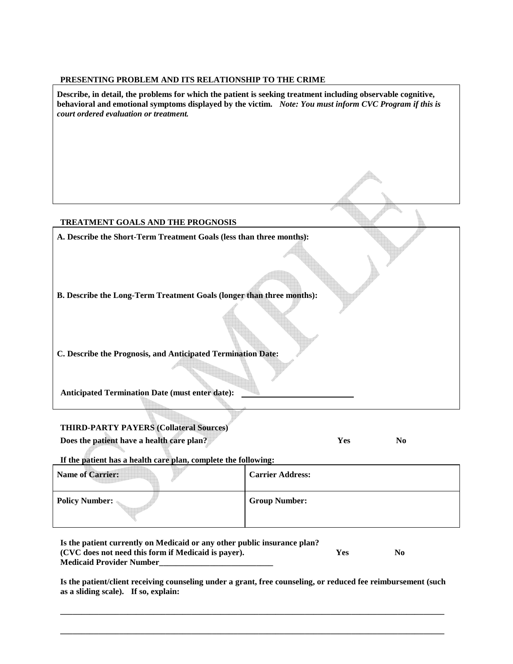# **PRESENTING PROBLEM AND ITS RELATIONSHIP TO THE CRIME**

| Describe, in detail, the problems for which the patient is seeking treatment including observable cognitive,<br>behavioral and emotional symptoms displayed by the victim. Note: You must inform CVC Program if this is<br>court ordered evaluation or treatment. |                       |  |  |  |
|-------------------------------------------------------------------------------------------------------------------------------------------------------------------------------------------------------------------------------------------------------------------|-----------------------|--|--|--|
|                                                                                                                                                                                                                                                                   |                       |  |  |  |
|                                                                                                                                                                                                                                                                   |                       |  |  |  |
| TREATMENT GOALS AND THE PROGNOSIS                                                                                                                                                                                                                                 |                       |  |  |  |
| A. Describe the Short-Term Treatment Goals (less than three months):                                                                                                                                                                                              |                       |  |  |  |
|                                                                                                                                                                                                                                                                   |                       |  |  |  |
| B. Describe the Long-Term Treatment Goals (longer than three months):                                                                                                                                                                                             |                       |  |  |  |
| C. Describe the Prognosis, and Anticipated Termination Date:                                                                                                                                                                                                      |                       |  |  |  |
| <b>Anticipated Termination Date (must enter date):</b>                                                                                                                                                                                                            |                       |  |  |  |
| <b>THIRD-PARTY PAYERS (Collateral Sources)</b>                                                                                                                                                                                                                    |                       |  |  |  |
| Does the patient have a health care plan?                                                                                                                                                                                                                         | Yes<br>N <sub>0</sub> |  |  |  |

**If the patient has a health care plan, complete the following:** 

| <b>Name of Carrier:</b> | <b>Carrier Address:</b> |
|-------------------------|-------------------------|
| <b>Policy Number:</b>   | <b>Group Number:</b>    |

| Is the patient currently on Medicaid or any other public insurance plan? |     |     |
|--------------------------------------------------------------------------|-----|-----|
| (CVC does not need this form if Medicaid is payer).                      | Yes | No. |
| <b>Medicaid Provider Number</b>                                          |     |     |

**Is the patient/client receiving counseling under a grant, free counseling, or reduced fee reimbursement (such as a sliding scale). If so, explain:** 

**\_\_\_\_\_\_\_\_\_\_\_\_\_\_\_\_\_\_\_\_\_\_\_\_\_\_\_\_\_\_\_\_\_\_\_\_\_\_\_\_\_\_\_\_\_\_\_\_\_\_\_\_\_\_\_\_\_\_\_\_\_\_\_\_\_\_\_\_\_\_\_\_\_\_\_\_\_\_\_\_\_\_\_\_\_\_\_\_\_\_\_** 

**\_\_\_\_\_\_\_\_\_\_\_\_\_\_\_\_\_\_\_\_\_\_\_\_\_\_\_\_\_\_\_\_\_\_\_\_\_\_\_\_\_\_\_\_\_\_\_\_\_\_\_\_\_\_\_\_\_\_\_\_\_\_\_\_\_\_\_\_\_\_\_\_\_\_\_\_\_\_\_\_\_\_\_\_\_\_\_\_\_\_\_**